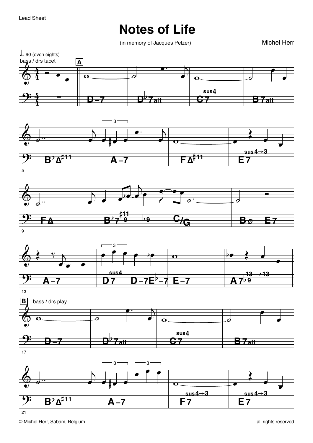## **Notes of Life**

(in memory of Jacques Pelzer)

**Michel Herr** 









 $17$ 



 $21$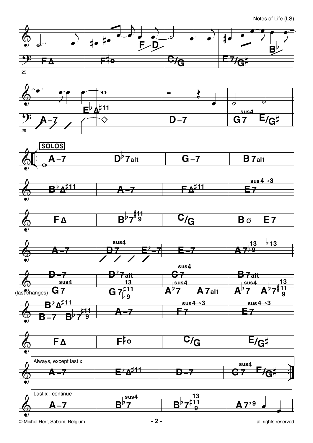

















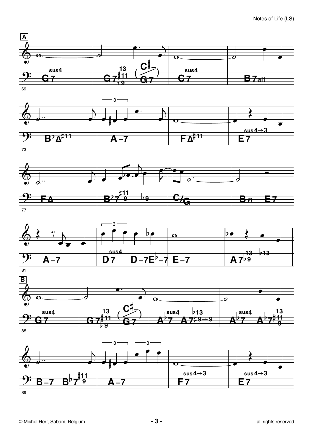











85



89